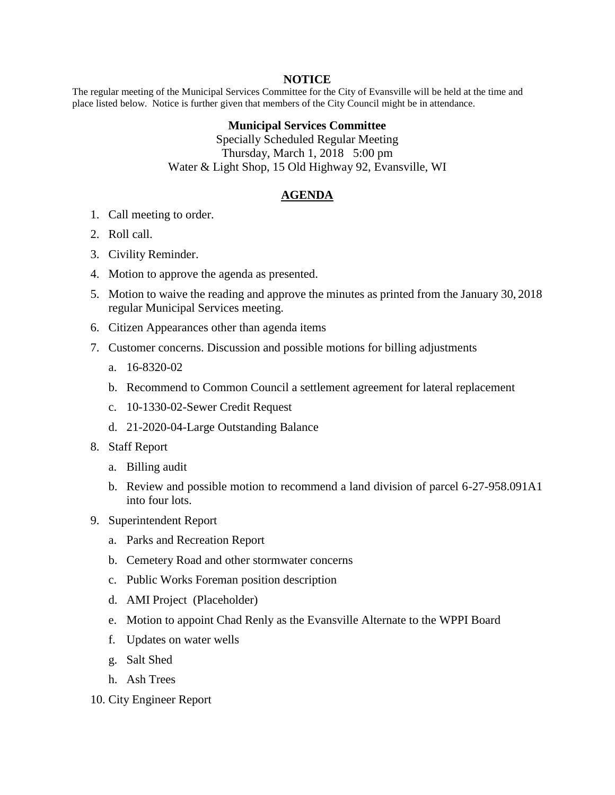## **NOTICE**

The regular meeting of the Municipal Services Committee for the City of Evansville will be held at the time and place listed below. Notice is further given that members of the City Council might be in attendance.

## **Municipal Services Committee**

Specially Scheduled Regular Meeting Thursday, March 1, 2018 5:00 pm Water & Light Shop, 15 Old Highway 92, Evansville, WI

## **AGENDA**

- 1. Call meeting to order.
- 2. Roll call.
- 3. Civility Reminder.
- 4. Motion to approve the agenda as presented.
- 5. Motion to waive the reading and approve the minutes as printed from the January 30, 2018 regular Municipal Services meeting.
- 6. Citizen Appearances other than agenda items
- 7. Customer concerns. Discussion and possible motions for billing adjustments
	- a. 16-8320-02
	- b. Recommend to Common Council a settlement agreement for lateral replacement
	- c. 10-1330-02-Sewer Credit Request
	- d. 21-2020-04-Large Outstanding Balance
- 8. Staff Report
	- a. Billing audit
	- b. Review and possible motion to recommend a land division of parcel 6-27-958.091A1 into four lots.
- 9. Superintendent Report
	- a. Parks and Recreation Report
	- b. Cemetery Road and other stormwater concerns
	- c. Public Works Foreman position description
	- d. AMI Project (Placeholder)
	- e. Motion to appoint Chad Renly as the Evansville Alternate to the WPPI Board
	- f. Updates on water wells
	- g. Salt Shed
	- h. Ash Trees
- 10. City Engineer Report